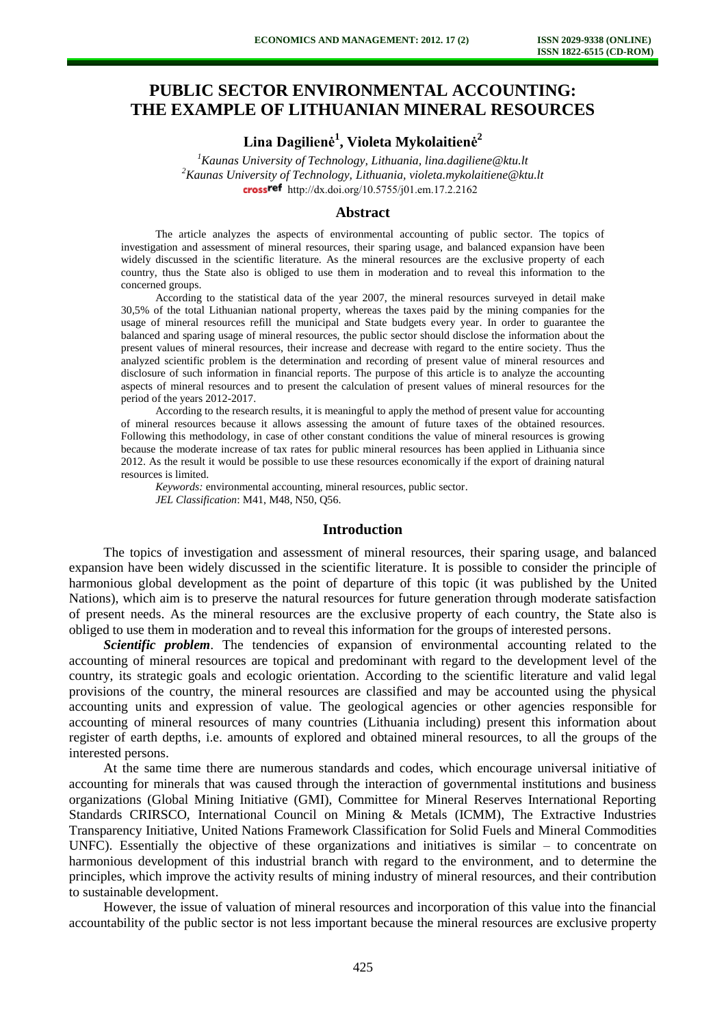# **PUBLIC SECTOR ENVIRONMENTAL ACCOUNTING: THE EXAMPLE OF LITHUANIAN MINERAL RESOURCES**

## **Lina Dagilienė<sup>1</sup> , Violeta Mykolaitienė<sup>2</sup>**

*<sup>1</sup>Kaunas University of Technology, Lithuania, lina.dagiliene@ktu.lt <sup>2</sup>Kaunas University of Technology, Lithuania, violeta.mykolaitiene@ktu.lt*  crossref [http://dx.doi.org/10.5755/j01.e](http://dx.doi.org/10.5755/j01.em.17.2.2162)m.17.2.2162

### **Abstract**

The article analyzes the aspects of environmental accounting of public sector. The topics of investigation and assessment of mineral resources, their sparing usage, and balanced expansion have been widely discussed in the scientific literature. As the mineral resources are the exclusive property of each country, thus the State also is obliged to use them in moderation and to reveal this information to the concerned groups.

According to the statistical data of the year 2007, the mineral resources surveyed in detail make 30,5% of the total Lithuanian national property, whereas the taxes paid by the mining companies for the usage of mineral resources refill the municipal and State budgets every year. In order to guarantee the balanced and sparing usage of mineral resources, the public sector should disclose the information about the present values of mineral resources, their increase and decrease with regard to the entire society. Thus the analyzed scientific problem is the determination and recording of present value of mineral resources and disclosure of such information in financial reports. The purpose of this article is to analyze the accounting aspects of mineral resources and to present the calculation of present values of mineral resources for the period of the years 2012-2017.

According to the research results, it is meaningful to apply the method of present value for accounting of mineral resources because it allows assessing the amount of future taxes of the obtained resources. Following this methodology, in case of other constant conditions the value of mineral resources is growing because the moderate increase of tax rates for public mineral resources has been applied in Lithuania since 2012. As the result it would be possible to use these resources economically if the export of draining natural resources is limited.

*Keywords:* environmental accounting, mineral resources, public sector. *JEL Classification*: M41, M48, N50, Q56.

#### **Introduction**

The topics of investigation and assessment of mineral resources, their sparing usage, and balanced expansion have been widely discussed in the scientific literature. It is possible to consider the principle of harmonious global development as the point of departure of this topic (it was published by the United Nations), which aim is to preserve the natural resources for future generation through moderate satisfaction of present needs. As the mineral resources are the exclusive property of each country, the State also is obliged to use them in moderation and to reveal this information for the groups of interested persons.

**Scientific problem.** The tendencies of expansion of environmental accounting related to the accounting of mineral resources are topical and predominant with regard to the development level of the country, its strategic goals and ecologic orientation. According to the scientific literature and valid legal provisions of the country, the mineral resources are classified and may be accounted using the physical accounting units and expression of value. The geological agencies or other agencies responsible for accounting of mineral resources of many countries (Lithuania including) present this information about register of earth depths, i.e. amounts of explored and obtained mineral resources, to all the groups of the interested persons.

At the same time there are numerous standards and codes, which encourage universal initiative of accounting for minerals that was caused through the interaction of governmental institutions and business organizations (Global Mining Initiative (GMI), Committee for Mineral Reserves International Reporting Standards CRIRSCO, International Council on Mining & Metals (ICMM), The Extractive Industries Transparency Initiative, United Nations Framework Classification for Solid Fuels and Mineral Commodities UNFC). Essentially the objective of these organizations and initiatives is similar – to concentrate on harmonious development of this industrial branch with regard to the environment, and to determine the principles, which improve the activity results of mining industry of mineral resources, and their contribution to sustainable development.

However, the issue of valuation of mineral resources and incorporation of this value into the financial accountability of the public sector is not less important because the mineral resources are exclusive property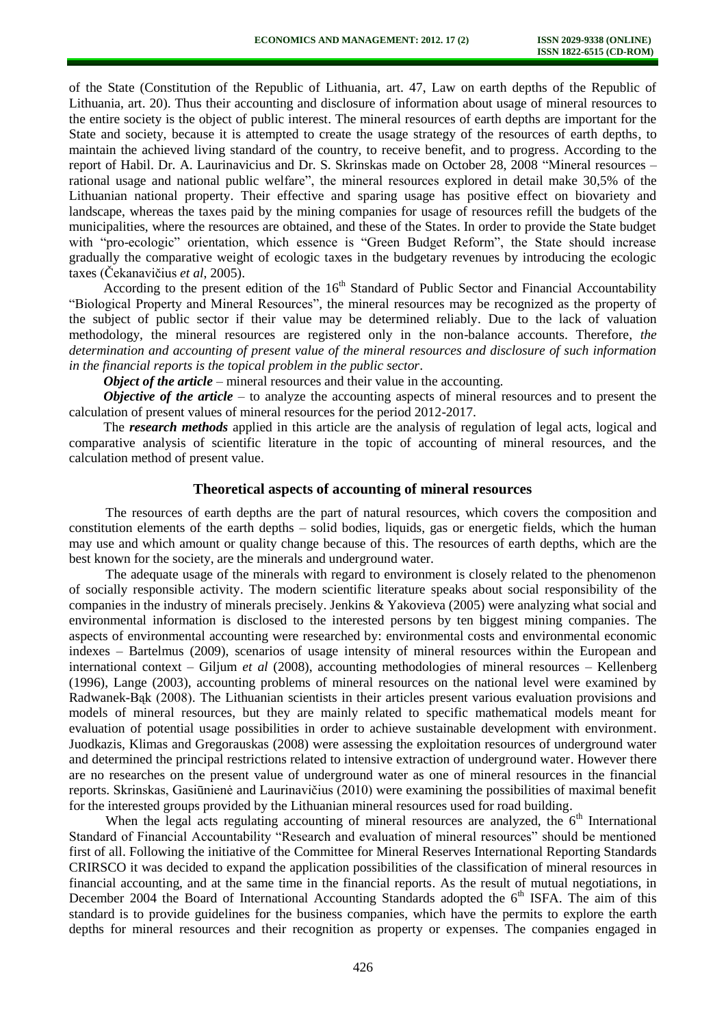of the State (Constitution of the Republic of Lithuania, art. 47, Law on earth depths of the Republic of Lithuania, art. 20). Thus their accounting and disclosure of information about usage of mineral resources to the entire society is the object of public interest. The mineral resources of earth depths are important for the State and society, because it is attempted to create the usage strategy of the resources of earth depths, to maintain the achieved living standard of the country, to receive benefit, and to progress. According to the report of Habil. Dr. A. Laurinavicius and Dr. S. Skrinskas made on October 28, 2008 "Mineral resources – rational usage and national public welfare", the mineral resources explored in detail make 30,5% of the Lithuanian national property. Their effective and sparing usage has positive effect on biovariety and landscape, whereas the taxes paid by the mining companies for usage of resources refill the budgets of the municipalities, where the resources are obtained, and these of the States. In order to provide the State budget with "pro-ecologic" orientation, which essence is "Green Budget Reform", the State should increase gradually the comparative weight of ecologic taxes in the budgetary revenues by introducing the ecologic taxes (Čekanavičius *et al*, 2005).

According to the present edition of the  $16<sup>th</sup>$  Standard of Public Sector and Financial Accountability "Biological Property and Mineral Resources", the mineral resources may be recognized as the property of the subject of public sector if their value may be determined reliably. Due to the lack of valuation methodology, the mineral resources are registered only in the non-balance accounts. Therefore, *the determination and accounting of present value of the mineral resources and disclosure of such information in the financial reports is the topical problem in the public sector*.

*Object of the article* – mineral resources and their value in the accounting.

*Objective of the article* – to analyze the accounting aspects of mineral resources and to present the calculation of present values of mineral resources for the period 2012-2017.

The *research methods* applied in this article are the analysis of regulation of legal acts, logical and comparative analysis of scientific literature in the topic of accounting of mineral resources, and the calculation method of present value.

#### **Theoretical aspects of accounting of mineral resources**

The resources of earth depths are the part of natural resources, which covers the composition and constitution elements of the earth depths – solid bodies, liquids, gas or energetic fields, which the human may use and which amount or quality change because of this. The resources of earth depths, which are the best known for the society, are the minerals and underground water.

The adequate usage of the minerals with regard to environment is closely related to the phenomenon of socially responsible activity. The modern scientific literature speaks about social responsibility of the companies in the industry of minerals precisely. Jenkins & Yakovieva (2005) were analyzing what social and environmental information is disclosed to the interested persons by ten biggest mining companies. The aspects of environmental accounting were researched by: environmental costs and environmental economic indexes – Bartelmus (2009), scenarios of usage intensity of mineral resources within the European and international context – Giljum *et al* (2008), accounting methodologies of mineral resources – Kellenberg (1996), Lange (2003), accounting problems of mineral resources on the national level were examined by Radwanek-Bąk (2008). The Lithuanian scientists in their articles present various evaluation provisions and models of mineral resources, but they are mainly related to specific mathematical models meant for evaluation of potential usage possibilities in order to achieve sustainable development with environment. Juodkazis, Klimas and Gregorauskas (2008) were assessing the exploitation resources of underground water and determined the principal restrictions related to intensive extraction of underground water. However there are no researches on the present value of underground water as one of mineral resources in the financial reports. Skrinskas, Gasiūnienė and Laurinavičius (2010) were examining the possibilities of maximal benefit for the interested groups provided by the Lithuanian mineral resources used for road building.

When the legal acts regulating accounting of mineral resources are analyzed, the  $6<sup>th</sup>$  International Standard of Financial Accountability "Research and evaluation of mineral resources" should be mentioned first of all. Following the initiative of the Committee for Mineral Reserves International Reporting Standards CRIRSCO it was decided to expand the application possibilities of the classification of mineral resources in financial accounting, and at the same time in the financial reports. As the result of mutual negotiations, in December 2004 the Board of International Accounting Standards adopted the  $6<sup>th</sup> ISFA$ . The aim of this standard is to provide guidelines for the business companies, which have the permits to explore the earth depths for mineral resources and their recognition as property or expenses. The companies engaged in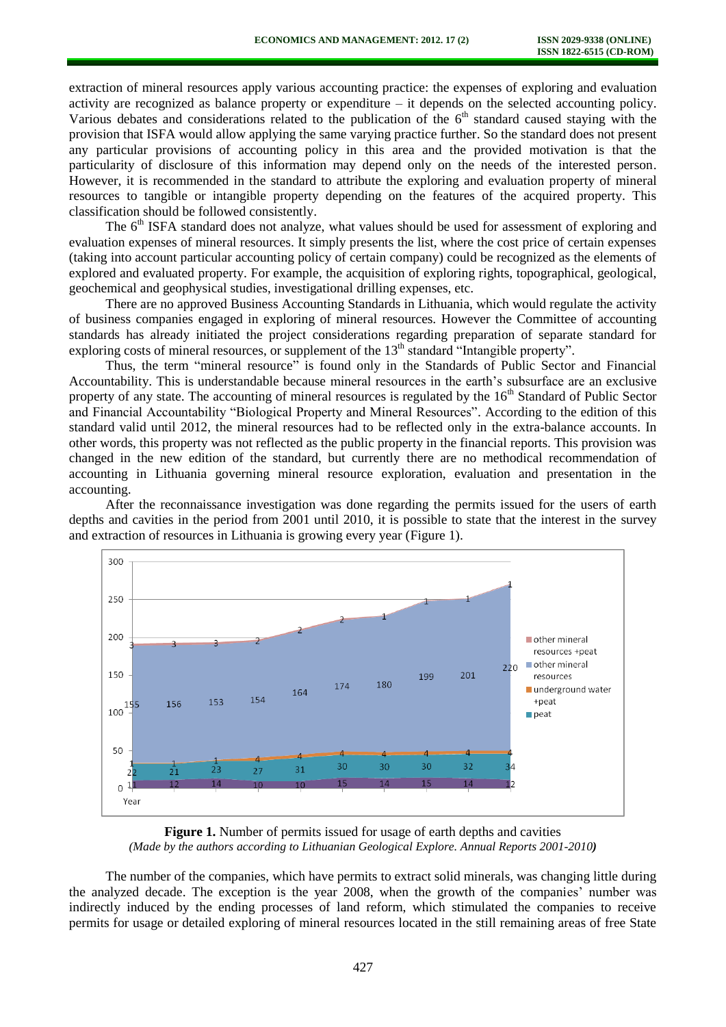extraction of mineral resources apply various accounting practice: the expenses of exploring and evaluation activity are recognized as balance property or expenditure – it depends on the selected accounting policy. Various debates and considerations related to the publication of the  $6<sup>th</sup>$  standard caused staying with the provision that ISFA would allow applying the same varying practice further. So the standard does not present any particular provisions of accounting policy in this area and the provided motivation is that the particularity of disclosure of this information may depend only on the needs of the interested person. However, it is recommended in the standard to attribute the exploring and evaluation property of mineral resources to tangible or intangible property depending on the features of the acquired property. This classification should be followed consistently.

The  $6<sup>th</sup>$  ISFA standard does not analyze, what values should be used for assessment of exploring and evaluation expenses of mineral resources. It simply presents the list, where the cost price of certain expenses (taking into account particular accounting policy of certain company) could be recognized as the elements of explored and evaluated property. For example, the acquisition of exploring rights, topographical, geological, geochemical and geophysical studies, investigational drilling expenses, etc.

There are no approved Business Accounting Standards in Lithuania, which would regulate the activity of business companies engaged in exploring of mineral resources. However the Committee of accounting standards has already initiated the project considerations regarding preparation of separate standard for exploring costs of mineral resources, or supplement of the 13<sup>th</sup> standard "Intangible property".

Thus, the term "mineral resource" is found only in the Standards of Public Sector and Financial Accountability. This is understandable because mineral resources in the earth's subsurface are an exclusive property of any state. The accounting of mineral resources is regulated by the 16<sup>th</sup> Standard of Public Sector and Financial Accountability "Biological Property and Mineral Resources". According to the edition of this standard valid until 2012, the mineral resources had to be reflected only in the extra-balance accounts. In other words, this property was not reflected as the public property in the financial reports. This provision was changed in the new edition of the standard, but currently there are no methodical recommendation of accounting in Lithuania governing mineral resource exploration, evaluation and presentation in the accounting.

After the reconnaissance investigation was done regarding the permits issued for the users of earth depths and cavities in the period from 2001 until 2010, it is possible to state that the interest in the survey and extraction of resources in Lithuania is growing every year (Figure 1).



**Figure 1.** Number of permits issued for usage of earth depths and cavities *(Made by the authors according to Lithuanian Geological Explore. Annual Reports 2001-2010)* 

The number of the companies, which have permits to extract solid minerals, was changing little during the analyzed decade. The exception is the year 2008, when the growth of the companies' number was indirectly induced by the ending processes of land reform, which stimulated the companies to receive permits for usage or detailed exploring of mineral resources located in the still remaining areas of free State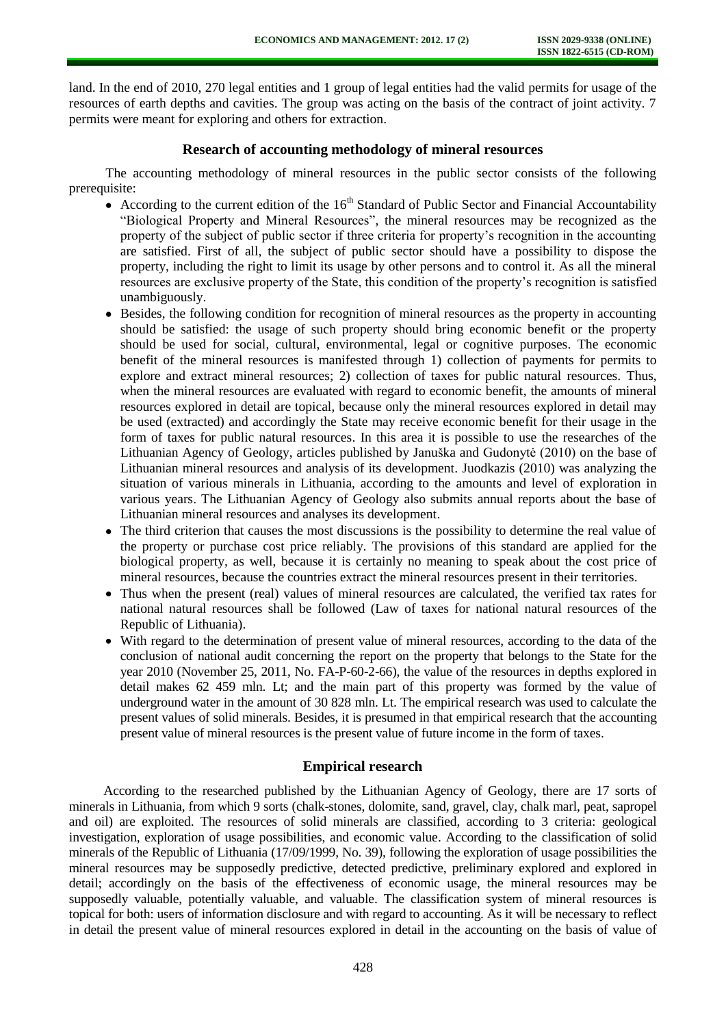land. In the end of 2010, 270 legal entities and 1 group of legal entities had the valid permits for usage of the resources of earth depths and cavities. The group was acting on the basis of the contract of joint activity. 7 permits were meant for exploring and others for extraction.

### **Research of accounting methodology of mineral resources**

The accounting methodology of mineral resources in the public sector consists of the following prerequisite:

- According to the current edition of the  $16<sup>th</sup>$  Standard of Public Sector and Financial Accountability "Biological Property and Mineral Resources", the mineral resources may be recognized as the property of the subject of public sector if three criteria for property's recognition in the accounting are satisfied. First of all, the subject of public sector should have a possibility to dispose the property, including the right to limit its usage by other persons and to control it. As all the mineral resources are exclusive property of the State, this condition of the property's recognition is satisfied unambiguously.
- Besides, the following condition for recognition of mineral resources as the property in accounting should be satisfied: the usage of such property should bring economic benefit or the property should be used for social, cultural, environmental, legal or cognitive purposes. The economic benefit of the mineral resources is manifested through 1) collection of payments for permits to explore and extract mineral resources; 2) collection of taxes for public natural resources. Thus, when the mineral resources are evaluated with regard to economic benefit, the amounts of mineral resources explored in detail are topical, because only the mineral resources explored in detail may be used (extracted) and accordingly the State may receive economic benefit for their usage in the form of taxes for public natural resources. In this area it is possible to use the researches of the Lithuanian Agency of Geology, articles published by Januška and Gudonytė (2010) on the base of Lithuanian mineral resources and analysis of its development. Juodkazis (2010) was analyzing the situation of various minerals in Lithuania, according to the amounts and level of exploration in various years. The Lithuanian Agency of Geology also submits annual reports about the base of Lithuanian mineral resources and analyses its development.
- The third criterion that causes the most discussions is the possibility to determine the real value of the property or purchase cost price reliably. The provisions of this standard are applied for the biological property, as well, because it is certainly no meaning to speak about the cost price of mineral resources, because the countries extract the mineral resources present in their territories.
- Thus when the present (real) values of mineral resources are calculated, the verified tax rates for national natural resources shall be followed (Law of taxes for national natural resources of the Republic of Lithuania).
- With regard to the determination of present value of mineral resources, according to the data of the conclusion of national audit concerning the report on the property that belongs to the State for the year 2010 (November 25, 2011, No. FA-P-60-2-66), the value of the resources in depths explored in detail makes 62 459 mln. Lt; and the main part of this property was formed by the value of underground water in the amount of 30 828 mln. Lt. The empirical research was used to calculate the present values of solid minerals. Besides, it is presumed in that empirical research that the accounting present value of mineral resources is the present value of future income in the form of taxes.

## **Empirical research**

According to the researched published by the Lithuanian Agency of Geology, there are 17 sorts of minerals in Lithuania, from which 9 sorts (chalk-stones, dolomite, sand, gravel, clay, chalk marl, peat, sapropel and oil) are exploited. The resources of solid minerals are classified, according to 3 criteria: geological investigation, exploration of usage possibilities, and economic value. According to the classification of solid minerals of the Republic of Lithuania (17/09/1999, No. 39), following the exploration of usage possibilities the mineral resources may be supposedly predictive, detected predictive, preliminary explored and explored in detail; accordingly on the basis of the effectiveness of economic usage, the mineral resources may be supposedly valuable, potentially valuable, and valuable. The classification system of mineral resources is topical for both: users of information disclosure and with regard to accounting. As it will be necessary to reflect in detail the present value of mineral resources explored in detail in the accounting on the basis of value of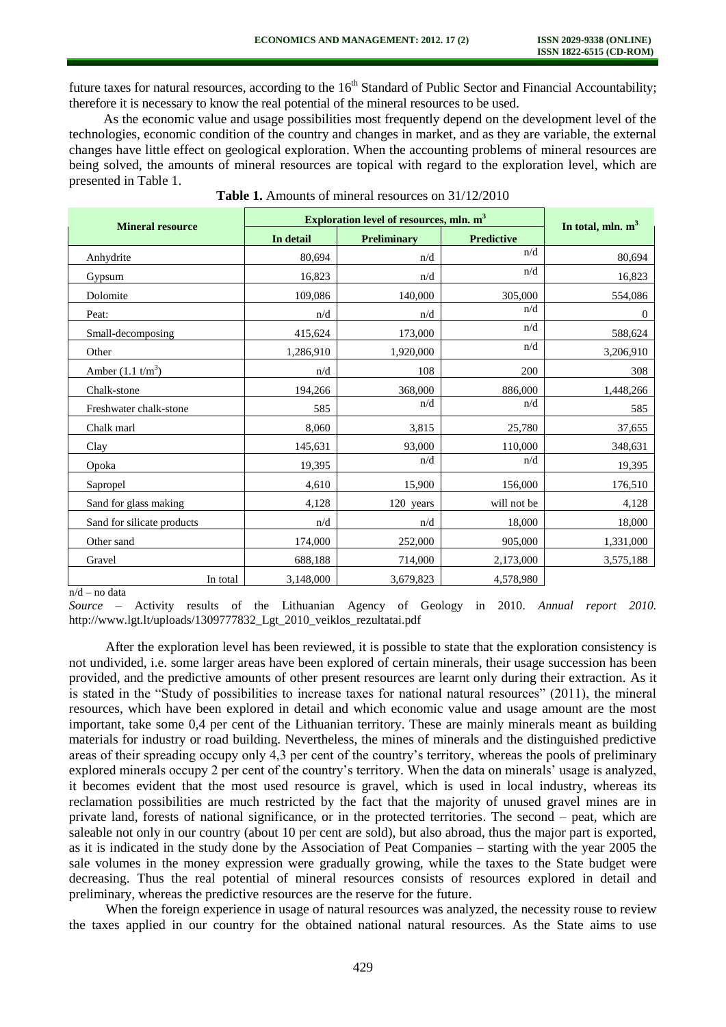future taxes for natural resources, according to the  $16<sup>th</sup>$  Standard of Public Sector and Financial Accountability; therefore it is necessary to know the real potential of the mineral resources to be used.

As the economic value and usage possibilities most frequently depend on the development level of the technologies, economic condition of the country and changes in market, and as they are variable, the external changes have little effect on geological exploration. When the accounting problems of mineral resources are being solved, the amounts of mineral resources are topical with regard to the exploration level, which are presented in Table 1.

| <b>Mineral resource</b>     | Exploration level of resources, mln. m <sup>3</sup> |             |                   | In total, mln. $m3$ |
|-----------------------------|-----------------------------------------------------|-------------|-------------------|---------------------|
|                             | In detail                                           | Preliminary | <b>Predictive</b> |                     |
| Anhydrite                   | 80,694                                              | n/d         | n/d               | 80,694              |
| Gypsum                      | 16,823                                              | n/d         | n/d               | 16,823              |
| Dolomite                    | 109,086                                             | 140,000     | 305,000           | 554,086             |
| Peat:                       | n/d                                                 | n/d         | n/d               | $\mathbf{0}$        |
| Small-decomposing           | 415,624                                             | 173,000     | n/d               | 588,624             |
| Other                       | 1,286,910                                           | 1,920,000   | n/d               | 3,206,910           |
| Amber $(1.1 \text{ t/m}^3)$ | n/d                                                 | 108         | 200               | 308                 |
| Chalk-stone                 | 194,266                                             | 368,000     | 886,000           | 1,448,266           |
| Freshwater chalk-stone      | 585                                                 | n/d         | n/d               | 585                 |
| Chalk marl                  | 8,060                                               | 3,815       | 25,780            | 37,655              |
| Clay                        | 145,631                                             | 93,000      | 110,000           | 348,631             |
| Opoka                       | 19,395                                              | n/d         | n/d               | 19,395              |
| Sapropel                    | 4,610                                               | 15,900      | 156,000           | 176,510             |
| Sand for glass making       | 4,128                                               | 120 years   | will not be       | 4,128               |
| Sand for silicate products  | n/d                                                 | n/d         | 18,000            | 18,000              |
| Other sand                  | 174,000                                             | 252,000     | 905,000           | 1,331,000           |
| Gravel                      | 688,188                                             | 714,000     | 2,173,000         | 3,575,188           |
| In total                    | 3,148,000                                           | 3,679,823   | 4,578,980         |                     |

**Table 1.** Amounts of mineral resources on 31/12/2010

 $n/d$  – no data

*Source* – Activity results of the Lithuanian Agency of Geology in 2010. *Annual report 2010.*  [http://www.lgt.lt/uploads/1309777832\\_Lgt\\_2010\\_veiklos\\_rezultatai.pdf](http://www.lgt.lt/uploads/1309777832_Lgt_2010_veiklos_rezultatai.pdf)

After the exploration level has been reviewed, it is possible to state that the exploration consistency is not undivided, i.e. some larger areas have been explored of certain minerals, their usage succession has been provided, and the predictive amounts of other present resources are learnt only during their extraction. As it is stated in the "Study of possibilities to increase taxes for national natural resources" (2011), the mineral resources, which have been explored in detail and which economic value and usage amount are the most important, take some 0,4 per cent of the Lithuanian territory. These are mainly minerals meant as building materials for industry or road building. Nevertheless, the mines of minerals and the distinguished predictive areas of their spreading occupy only 4,3 per cent of the country's territory, whereas the pools of preliminary explored minerals occupy 2 per cent of the country's territory. When the data on minerals' usage is analyzed, it becomes evident that the most used resource is gravel, which is used in local industry, whereas its reclamation possibilities are much restricted by the fact that the majority of unused gravel mines are in private land, forests of national significance, or in the protected territories. The second – peat, which are saleable not only in our country (about 10 per cent are sold), but also abroad, thus the major part is exported, as it is indicated in the study done by the Association of Peat Companies – starting with the year 2005 the sale volumes in the money expression were gradually growing, while the taxes to the State budget were decreasing. Thus the real potential of mineral resources consists of resources explored in detail and preliminary, whereas the predictive resources are the reserve for the future.

When the foreign experience in usage of natural resources was analyzed, the necessity rouse to review the taxes applied in our country for the obtained national natural resources. As the State aims to use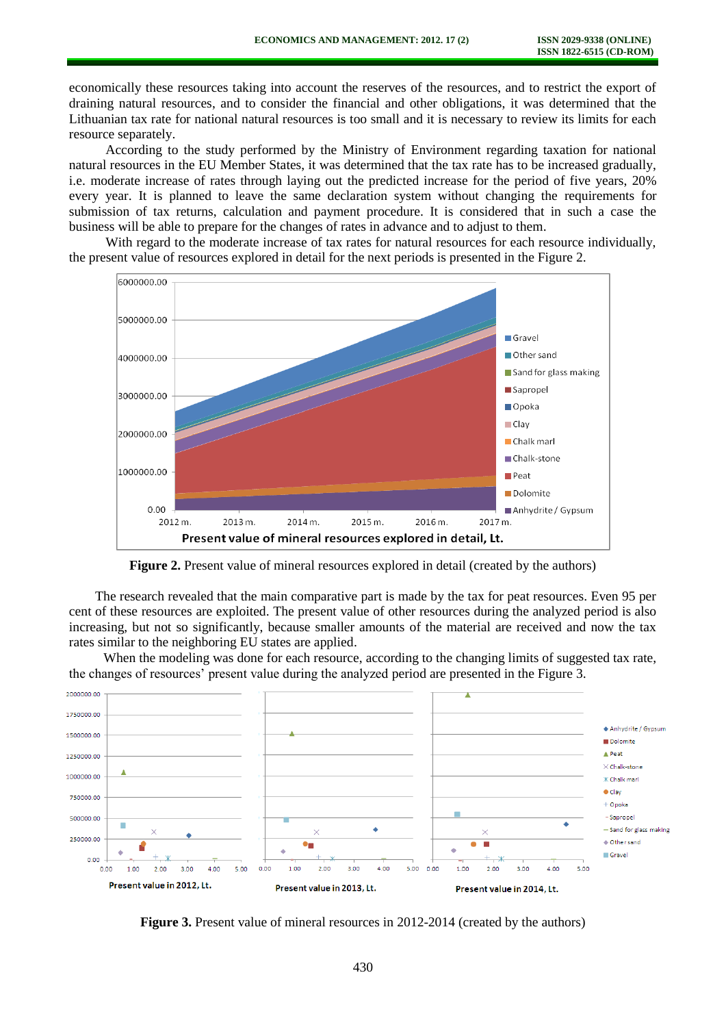economically these resources taking into account the reserves of the resources, and to restrict the export of draining natural resources, and to consider the financial and other obligations, it was determined that the Lithuanian tax rate for national natural resources is too small and it is necessary to review its limits for each resource separately.

According to the study performed by the Ministry of Environment regarding taxation for national natural resources in the EU Member States, it was determined that the tax rate has to be increased gradually, i.e. moderate increase of rates through laying out the predicted increase for the period of five years, 20% every year. It is planned to leave the same declaration system without changing the requirements for submission of tax returns, calculation and payment procedure. It is considered that in such a case the business will be able to prepare for the changes of rates in advance and to adjust to them.

With regard to the moderate increase of tax rates for natural resources for each resource individually, the present value of resources explored in detail for the next periods is presented in the Figure 2.



**Figure 2.** Present value of mineral resources explored in detail (created by the authors)

The research revealed that the main comparative part is made by the tax for peat resources. Even 95 per cent of these resources are exploited. The present value of other resources during the analyzed period is also increasing, but not so significantly, because smaller amounts of the material are received and now the tax rates similar to the neighboring EU states are applied.

When the modeling was done for each resource, according to the changing limits of suggested tax rate, the changes of resources' present value during the analyzed period are presented in the Figure 3.



**Figure 3.** Present value of mineral resources in 2012-2014 (created by the authors)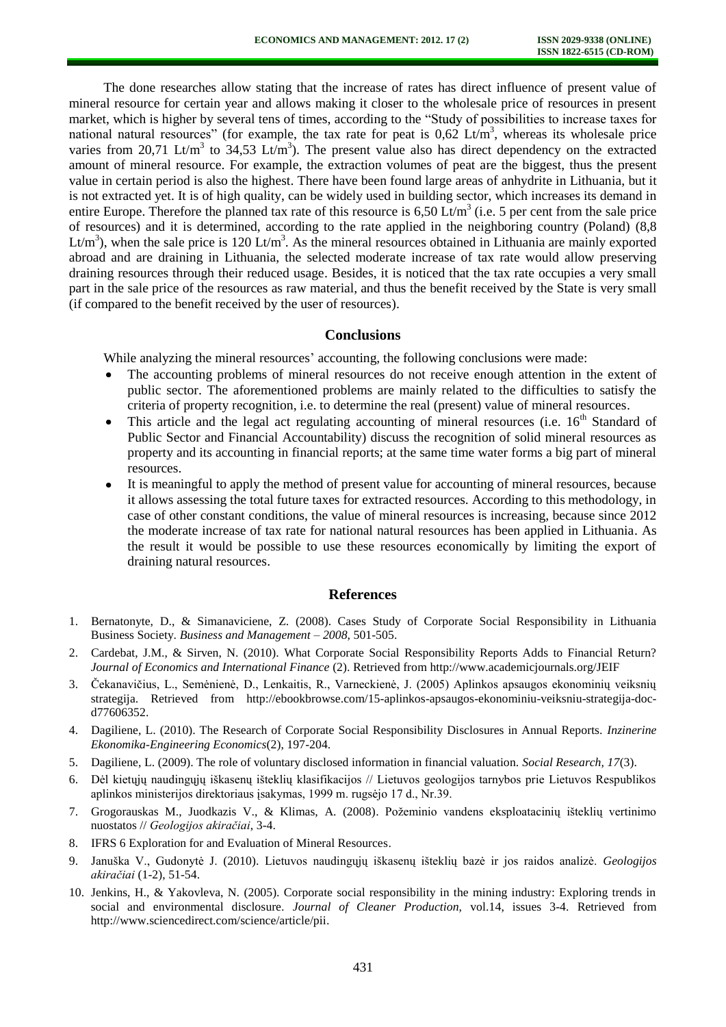The done researches allow stating that the increase of rates has direct influence of present value of mineral resource for certain year and allows making it closer to the wholesale price of resources in present market, which is higher by several tens of times, according to the "Study of possibilities to increase taxes for national natural resources" (for example, the tax rate for peat is  $0.62 \text{ Lt/m}^3$ , whereas its wholesale price varies from 20,71 Lt/m<sup>3</sup> to 34,53 Lt/m<sup>3</sup>). The present value also has direct dependency on the extracted amount of mineral resource. For example, the extraction volumes of peat are the biggest, thus the present value in certain period is also the highest. There have been found large areas of anhydrite in Lithuania, but it is not extracted yet. It is of high quality, can be widely used in building sector, which increases its demand in entire Europe. Therefore the planned tax rate of this resource is  $6,50$  Lt/m<sup>3</sup> (i.e. 5 per cent from the sale price of resources) and it is determined, according to the rate applied in the neighboring country (Poland) (8,8 Lt/m<sup>3</sup>), when the sale price is 120 Lt/m<sup>3</sup>. As the mineral resources obtained in Lithuania are mainly exported abroad and are draining in Lithuania, the selected moderate increase of tax rate would allow preserving draining resources through their reduced usage. Besides, it is noticed that the tax rate occupies a very small part in the sale price of the resources as raw material, and thus the benefit received by the State is very small (if compared to the benefit received by the user of resources).

### **Conclusions**

While analyzing the mineral resources' accounting, the following conclusions were made:

- The accounting problems of mineral resources do not receive enough attention in the extent of public sector. The aforementioned problems are mainly related to the difficulties to satisfy the criteria of property recognition, i.e. to determine the real (present) value of mineral resources.
- This article and the legal act regulating accounting of mineral resources (i.e.  $16<sup>th</sup>$  Standard of Public Sector and Financial Accountability) discuss the recognition of solid mineral resources as property and its accounting in financial reports; at the same time water forms a big part of mineral resources.
- It is meaningful to apply the method of present value for accounting of mineral resources, because it allows assessing the total future taxes for extracted resources. According to this methodology, in case of other constant conditions, the value of mineral resources is increasing, because since 2012 the moderate increase of tax rate for national natural resources has been applied in Lithuania. As the result it would be possible to use these resources economically by limiting the export of draining natural resources.

#### **References**

- 1. Bernatonyte, D., & Simanaviciene, Z. (2008). Cases Study of Corporate Social Responsibility in Lithuania Business Society. *Business and Management – 2008*, 501-505.
- 2. Cardebat, J.M., & Sirven, N. (2010). What Corporate Social Responsibility Reports Adds to Financial Return? *Journal of Economics and International Finance* (2). Retrieved from <http://www.academicjournals.org/JEIF>
- 3. Čekanavičius, L., Semėnienė, D., Lenkaitis, R., Varneckienė, J. (2005) Aplinkos apsaugos ekonominių veiksnių strategija. Retrieved from [http://ebookbrowse.com/15-aplinkos-apsaugos-ekonominiu-veiksniu-strategija-doc](http://ebookbrowse.com/15-aplinkos-apsaugos-ekonominiu-veiksniu-strategija-doc-d77606352)[d77606352.](http://ebookbrowse.com/15-aplinkos-apsaugos-ekonominiu-veiksniu-strategija-doc-d77606352)
- 4. Dagiliene, L. (2010). The Research of Corporate Social Responsibility Disclosures in Annual Reports. *Inzinerine Ekonomika-Engineering Economics*(2), 197-204.
- 5. Dagiliene, L. (2009). The role of voluntary disclosed information in financial valuation. *Social Research, 17*(3).
- 6. Dėl kietųjų naudingųjų iškasenų išteklių klasifikacijos // Lietuvos geologijos tarnybos prie Lietuvos Respublikos aplinkos ministerijos direktoriaus įsakymas, 1999 m. rugsėjo 17 d., Nr.39.
- 7. Grogorauskas M., Juodkazis V., & Klimas, A. (2008). Požeminio vandens eksploatacinių išteklių vertinimo nuostatos // *Geologijos akiračiai*, 3-4.
- 8. IFRS 6 Exploration for and Evaluation of Mineral Resources.
- 9. Januška V., Gudonytė J. (2010). Lietuvos naudingųjų iškasenų išteklių bazė ir jos raidos analizė. *Geologijos akiračiai* (1-2), 51-54.
- 10. Jenkins, H., & Yakovleva, N. (2005). Corporate social responsibility in the mining industry: Exploring trends in social and environmental disclosure. *Journal of Cleaner Production,* vol.14, issues 3-4. Retrieved from [http://www.sciencedirect.com/science/article/pii.](http://www.sciencedirect.com/science/article/pii)